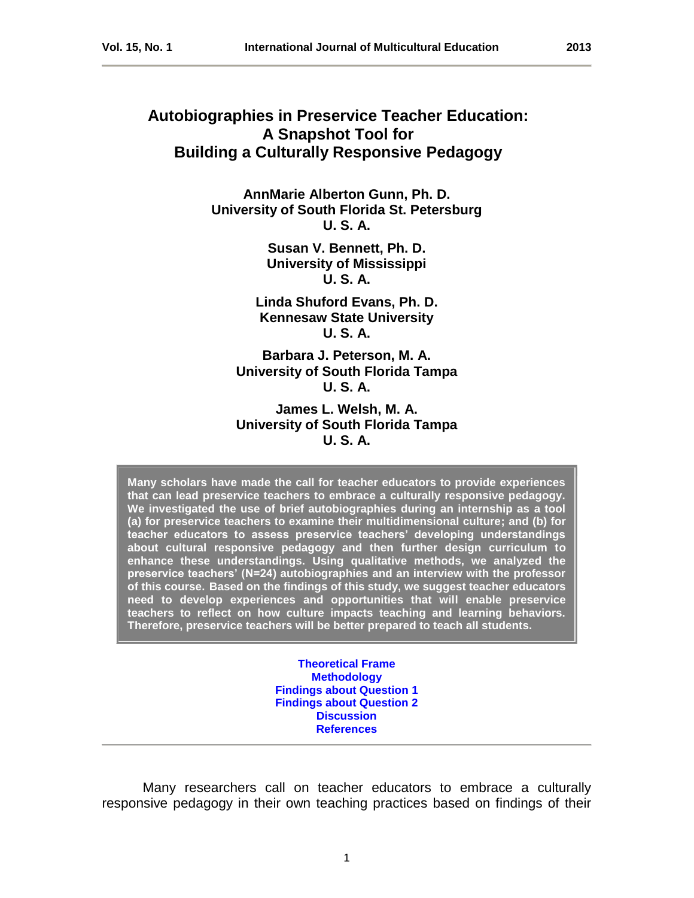**Autobiographies in Preservice Teacher Education: A Snapshot Tool for Building a Culturally Responsive Pedagogy**

> **AnnMarie Alberton Gunn, Ph. D. University of South Florida St. Petersburg U. S. A.**

> > **Susan V. Bennett, Ph. D. University of Mississippi U. S. A.**

**Linda Shuford Evans, Ph. D. Kennesaw State University U. S. A.**

**Barbara J. Peterson, M. A. University of South Florida Tampa U. S. A.**

**James L. Welsh, M. A. University of South Florida Tampa U. S. A.**

**Many scholars have made the call for teacher educators to provide experiences that can lead preservice teachers to embrace a culturally responsive pedagogy. We investigated the use of brief autobiographies during an internship as a tool (a) for preservice teachers to examine their multidimensional culture; and (b) for teacher educators to assess preservice teachers' developing understandings about cultural responsive pedagogy and then further design curriculum to enhance these understandings. Using qualitative methods, we analyzed the preservice teachers' (N=24) autobiographies and an interview with the professor of this course. Based on the findings of this study, we suggest teacher educators need to develop experiences and opportunities that will enable preservice teachers to reflect on how culture impacts teaching and learning behaviors. Therefore, preservice teachers will be better prepared to teach all students.**

> **[Theoretical Frame](#page-3-0) [Methodology](#page-5-0) [Findings](#page-8-0) about Question 1 [Findings about Question 2](#page-11-0) [Discussion](#page-13-0) [References](#page-15-0)**

Many researchers call on teacher educators to embrace a culturally responsive pedagogy in their own teaching practices based on findings of their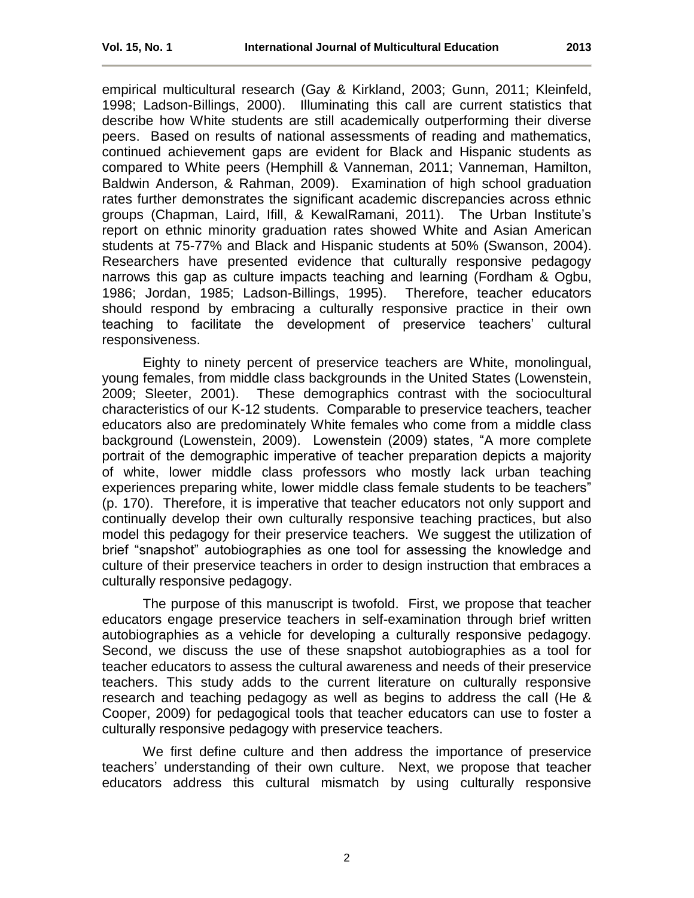empirical multicultural research (Gay & Kirkland, 2003; Gunn, 2011; Kleinfeld, 1998; Ladson-Billings, 2000). Illuminating this call are current statistics that describe how White students are still academically outperforming their diverse peers. Based on results of national assessments of reading and mathematics, continued achievement gaps are evident for Black and Hispanic students as compared to White peers (Hemphill & Vanneman, 2011; Vanneman, Hamilton, Baldwin Anderson, & Rahman, 2009). Examination of high school graduation rates further demonstrates the significant academic discrepancies across ethnic groups (Chapman, Laird, Ifill, & KewalRamani, 2011). The Urban Institute's report on ethnic minority graduation rates showed White and Asian American students at 75-77% and Black and Hispanic students at 50% (Swanson, 2004). Researchers have presented evidence that culturally responsive pedagogy narrows this gap as culture impacts teaching and learning (Fordham & Ogbu, 1986; Jordan, 1985; Ladson-Billings, 1995). Therefore, teacher educators should respond by embracing a culturally responsive practice in their own teaching to facilitate the development of preservice teachers' cultural responsiveness.

Eighty to ninety percent of preservice teachers are White, monolingual, young females, from middle class backgrounds in the United States (Lowenstein, 2009; Sleeter, 2001). These demographics contrast with the sociocultural characteristics of our K-12 students. Comparable to preservice teachers, teacher educators also are predominately White females who come from a middle class background (Lowenstein, 2009). Lowenstein (2009) states, "A more complete portrait of the demographic imperative of teacher preparation depicts a majority of white, lower middle class professors who mostly lack urban teaching experiences preparing white, lower middle class female students to be teachers" (p. 170). Therefore, it is imperative that teacher educators not only support and continually develop their own culturally responsive teaching practices, but also model this pedagogy for their preservice teachers. We suggest the utilization of brief "snapshot" autobiographies as one tool for assessing the knowledge and culture of their preservice teachers in order to design instruction that embraces a culturally responsive pedagogy.

The purpose of this manuscript is twofold. First, we propose that teacher educators engage preservice teachers in self-examination through brief written autobiographies as a vehicle for developing a culturally responsive pedagogy. Second, we discuss the use of these snapshot autobiographies as a tool for teacher educators to assess the cultural awareness and needs of their preservice teachers. This study adds to the current literature on culturally responsive research and teaching pedagogy as well as begins to address the call (He & Cooper, 2009) for pedagogical tools that teacher educators can use to foster a culturally responsive pedagogy with preservice teachers.

We first define culture and then address the importance of preservice teachers' understanding of their own culture. Next, we propose that teacher educators address this cultural mismatch by using culturally responsive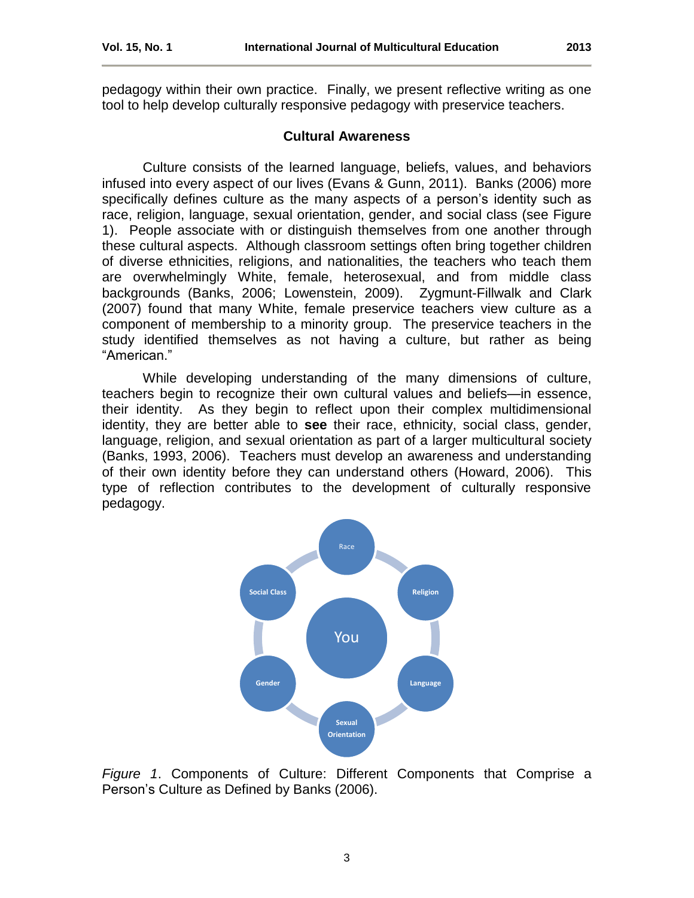pedagogy within their own practice. Finally, we present reflective writing as one tool to help develop culturally responsive pedagogy with preservice teachers.

#### **Cultural Awareness**

Culture consists of the learned language, beliefs, values, and behaviors infused into every aspect of our lives (Evans & Gunn, 2011). Banks (2006) more specifically defines culture as the many aspects of a person's identity such as race, religion, language, sexual orientation, gender, and social class (see Figure 1). People associate with or distinguish themselves from one another through these cultural aspects. Although classroom settings often bring together children of diverse ethnicities, religions, and nationalities, the teachers who teach them are overwhelmingly White, female, heterosexual, and from middle class backgrounds (Banks, 2006; Lowenstein, 2009). Zygmunt-Fillwalk and Clark (2007) found that many White, female preservice teachers view culture as a component of membership to a minority group. The preservice teachers in the study identified themselves as not having a culture, but rather as being "American."

While developing understanding of the many dimensions of culture, teachers begin to recognize their own cultural values and beliefs—in essence, their identity. As they begin to reflect upon their complex multidimensional identity, they are better able to **see** their race, ethnicity, social class, gender, language, religion, and sexual orientation as part of a larger multicultural society (Banks, 1993, 2006). Teachers must develop an awareness and understanding of their own identity before they can understand others (Howard, 2006). This type of reflection contributes to the development of culturally responsive pedagogy.



*Figure 1*. Components of Culture: Different Components that Comprise a Person's Culture as Defined by Banks (2006).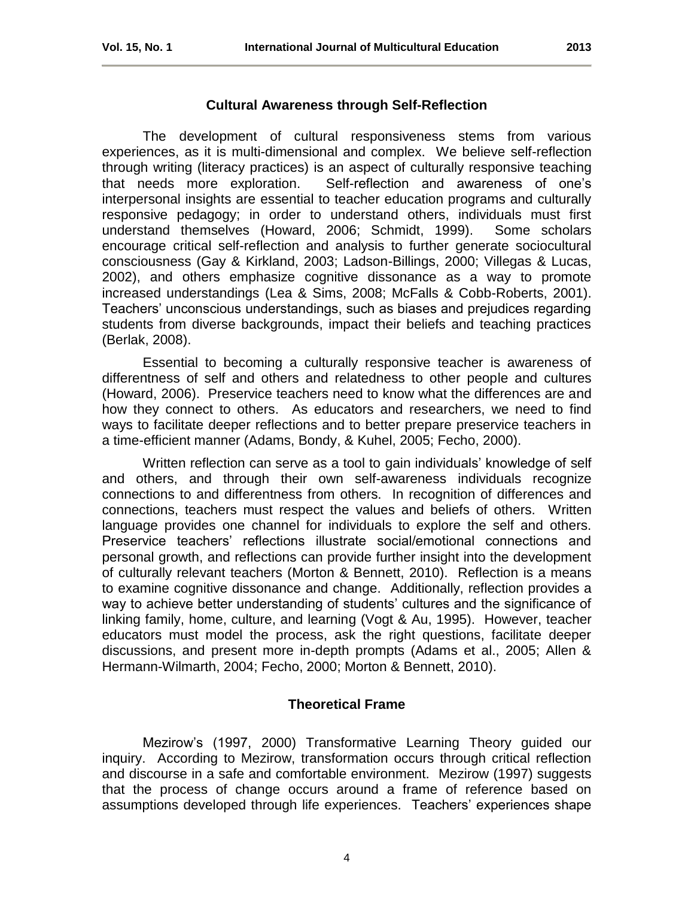# **Cultural Awareness through Self-Reflection**

The development of cultural responsiveness stems from various experiences, as it is multi-dimensional and complex. We believe self-reflection through writing (literacy practices) is an aspect of culturally responsive teaching that needs more exploration. Self-reflection and awareness of one's interpersonal insights are essential to teacher education programs and culturally responsive pedagogy; in order to understand others, individuals must first understand themselves (Howard, 2006; Schmidt, 1999). Some scholars encourage critical self-reflection and analysis to further generate sociocultural consciousness (Gay & Kirkland, 2003; Ladson-Billings, 2000; Villegas & Lucas, 2002), and others emphasize cognitive dissonance as a way to promote increased understandings (Lea & Sims, 2008; McFalls & Cobb-Roberts, 2001). Teachers' unconscious understandings, such as biases and prejudices regarding students from diverse backgrounds, impact their beliefs and teaching practices (Berlak, 2008).

Essential to becoming a culturally responsive teacher is awareness of differentness of self and others and relatedness to other people and cultures (Howard, 2006). Preservice teachers need to know what the differences are and how they connect to others. As educators and researchers, we need to find ways to facilitate deeper reflections and to better prepare preservice teachers in a time-efficient manner (Adams, Bondy, & Kuhel, 2005; Fecho, 2000).

Written reflection can serve as a tool to gain individuals' knowledge of self and others, and through their own self-awareness individuals recognize connections to and differentness from others. In recognition of differences and connections, teachers must respect the values and beliefs of others. Written language provides one channel for individuals to explore the self and others. Preservice teachers' reflections illustrate social/emotional connections and personal growth, and reflections can provide further insight into the development of culturally relevant teachers (Morton & Bennett, 2010). Reflection is a means to examine cognitive dissonance and change. Additionally, reflection provides a way to achieve better understanding of students' cultures and the significance of linking family, home, culture, and learning (Vogt & Au, 1995). However, teacher educators must model the process, ask the right questions, facilitate deeper discussions, and present more in-depth prompts (Adams et al., 2005; Allen & Hermann-Wilmarth, 2004; Fecho, 2000; Morton & Bennett, 2010).

### **Theoretical Frame**

<span id="page-3-0"></span>Mezirow's (1997, 2000) Transformative Learning Theory guided our inquiry. According to Mezirow, transformation occurs through critical reflection and discourse in a safe and comfortable environment. Mezirow (1997) suggests that the process of change occurs around a frame of reference based on assumptions developed through life experiences. Teachers' experiences shape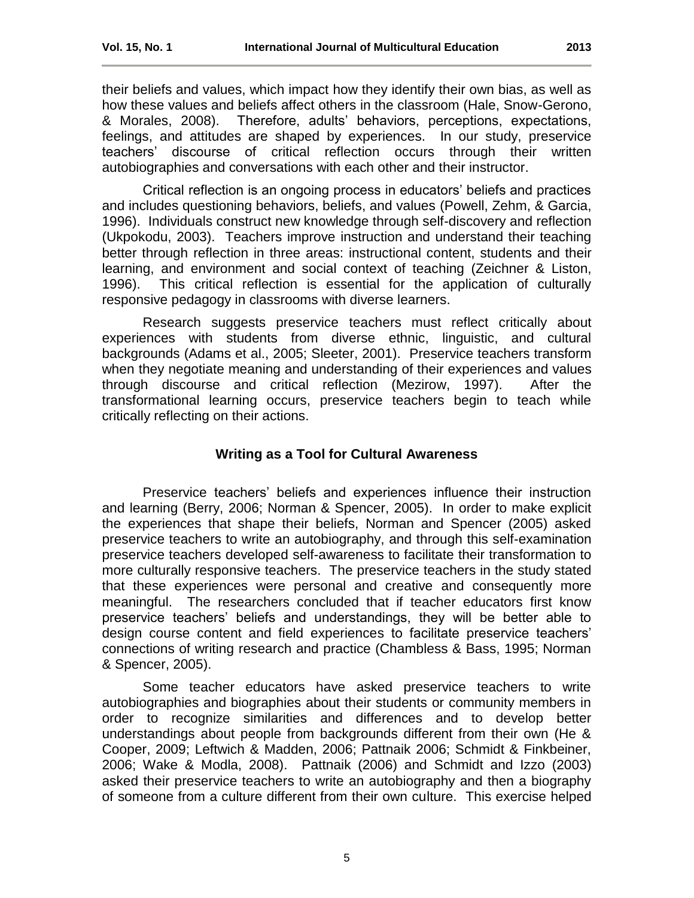their beliefs and values, which impact how they identify their own bias, as well as how these values and beliefs affect others in the classroom (Hale, Snow-Gerono, & Morales, 2008). Therefore, adults' behaviors, perceptions, expectations, feelings, and attitudes are shaped by experiences. In our study, preservice teachers' discourse of critical reflection occurs through their written autobiographies and conversations with each other and their instructor.

Critical reflection is an ongoing process in educators' beliefs and practices and includes questioning behaviors, beliefs, and values (Powell, Zehm, & Garcia, 1996). Individuals construct new knowledge through self-discovery and reflection (Ukpokodu, 2003). Teachers improve instruction and understand their teaching better through reflection in three areas: instructional content, students and their learning, and environment and social context of teaching (Zeichner & Liston, 1996). This critical reflection is essential for the application of culturally responsive pedagogy in classrooms with diverse learners.

Research suggests preservice teachers must reflect critically about experiences with students from diverse ethnic, linguistic, and cultural backgrounds (Adams et al., 2005; Sleeter, 2001). Preservice teachers transform when they negotiate meaning and understanding of their experiences and values through discourse and critical reflection (Mezirow, 1997). After the transformational learning occurs, preservice teachers begin to teach while critically reflecting on their actions.

# **Writing as a Tool for Cultural Awareness**

Preservice teachers' beliefs and experiences influence their instruction and learning (Berry, 2006; Norman & Spencer, 2005). In order to make explicit the experiences that shape their beliefs, Norman and Spencer (2005) asked preservice teachers to write an autobiography, and through this self-examination preservice teachers developed self-awareness to facilitate their transformation to more culturally responsive teachers. The preservice teachers in the study stated that these experiences were personal and creative and consequently more meaningful. The researchers concluded that if teacher educators first know preservice teachers' beliefs and understandings, they will be better able to design course content and field experiences to facilitate preservice teachers' connections of writing research and practice (Chambless & Bass, 1995; Norman & Spencer, 2005).

Some teacher educators have asked preservice teachers to write autobiographies and biographies about their students or community members in order to recognize similarities and differences and to develop better understandings about people from backgrounds different from their own (He & Cooper, 2009; Leftwich & Madden, 2006; Pattnaik 2006; Schmidt & Finkbeiner, 2006; Wake & Modla, 2008). Pattnaik (2006) and Schmidt and Izzo (2003) asked their preservice teachers to write an autobiography and then a biography of someone from a culture different from their own culture. This exercise helped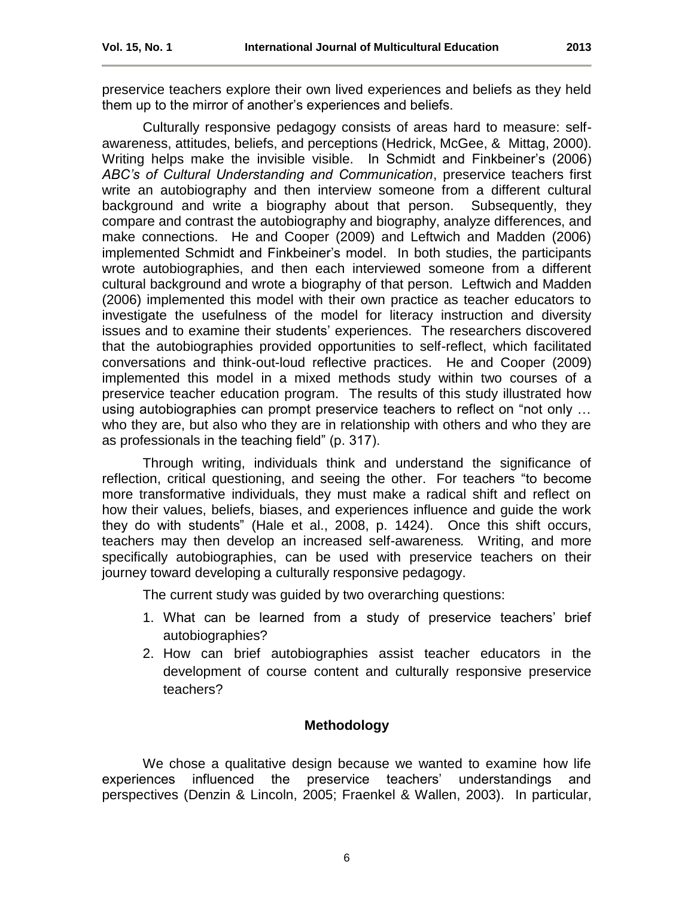preservice teachers explore their own lived experiences and beliefs as they held them up to the mirror of another's experiences and beliefs.

Culturally responsive pedagogy consists of areas hard to measure: selfawareness, attitudes, beliefs, and perceptions (Hedrick, McGee, & Mittag, 2000). Writing helps make the invisible visible. In Schmidt and Finkbeiner's (2006) *ABC's of Cultural Understanding and Communication*, preservice teachers first write an autobiography and then interview someone from a different cultural background and write a biography about that person. Subsequently, they compare and contrast the autobiography and biography, analyze differences, and make connections. He and Cooper (2009) and Leftwich and Madden (2006) implemented Schmidt and Finkbeiner's model. In both studies, the participants wrote autobiographies, and then each interviewed someone from a different cultural background and wrote a biography of that person. Leftwich and Madden (2006) implemented this model with their own practice as teacher educators to investigate the usefulness of the model for literacy instruction and diversity issues and to examine their students' experiences. The researchers discovered that the autobiographies provided opportunities to self-reflect, which facilitated conversations and think-out-loud reflective practices. He and Cooper (2009) implemented this model in a mixed methods study within two courses of a preservice teacher education program. The results of this study illustrated how using autobiographies can prompt preservice teachers to reflect on "not only … who they are, but also who they are in relationship with others and who they are as professionals in the teaching field" (p. 317).

Through writing, individuals think and understand the significance of reflection, critical questioning, and seeing the other. For teachers "to become more transformative individuals, they must make a radical shift and reflect on how their values, beliefs, biases, and experiences influence and guide the work they do with students" (Hale et al., 2008, p. 1424). Once this shift occurs, teachers may then develop an increased self-awareness*.* Writing, and more specifically autobiographies, can be used with preservice teachers on their journey toward developing a culturally responsive pedagogy.

The current study was guided by two overarching questions:

- 1. What can be learned from a study of preservice teachers' brief autobiographies?
- <span id="page-5-0"></span>2. How can brief autobiographies assist teacher educators in the development of course content and culturally responsive preservice teachers?

# **Methodology**

We chose a qualitative design because we wanted to examine how life experiences influenced the preservice teachers' understandings and perspectives (Denzin & Lincoln, 2005; Fraenkel & Wallen, 2003). In particular,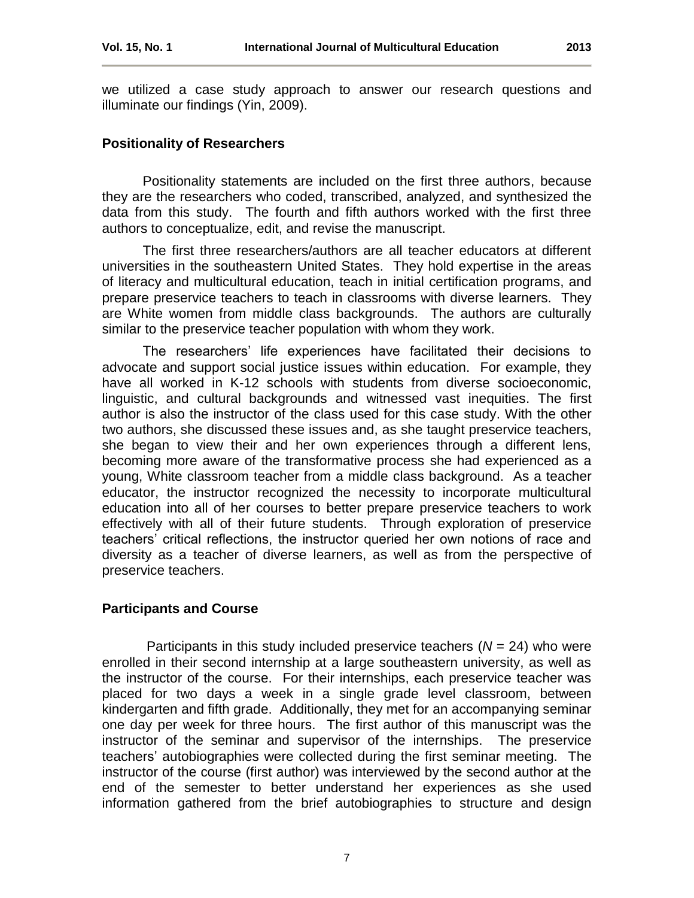we utilized a case study approach to answer our research questions and illuminate our findings (Yin, 2009).

### **Positionality of Researchers**

Positionality statements are included on the first three authors, because they are the researchers who coded, transcribed, analyzed, and synthesized the data from this study. The fourth and fifth authors worked with the first three authors to conceptualize, edit, and revise the manuscript.

The first three researchers/authors are all teacher educators at different universities in the southeastern United States. They hold expertise in the areas of literacy and multicultural education, teach in initial certification programs, and prepare preservice teachers to teach in classrooms with diverse learners. They are White women from middle class backgrounds. The authors are culturally similar to the preservice teacher population with whom they work.

The researchers' life experiences have facilitated their decisions to advocate and support social justice issues within education. For example, they have all worked in K-12 schools with students from diverse socioeconomic, linguistic, and cultural backgrounds and witnessed vast inequities. The first author is also the instructor of the class used for this case study. With the other two authors, she discussed these issues and, as she taught preservice teachers, she began to view their and her own experiences through a different lens, becoming more aware of the transformative process she had experienced as a young, White classroom teacher from a middle class background. As a teacher educator, the instructor recognized the necessity to incorporate multicultural education into all of her courses to better prepare preservice teachers to work effectively with all of their future students. Through exploration of preservice teachers' critical reflections, the instructor queried her own notions of race and diversity as a teacher of diverse learners, as well as from the perspective of preservice teachers.

### **Participants and Course**

Participants in this study included preservice teachers (*N* = 24) who were enrolled in their second internship at a large southeastern university, as well as the instructor of the course. For their internships, each preservice teacher was placed for two days a week in a single grade level classroom, between kindergarten and fifth grade. Additionally, they met for an accompanying seminar one day per week for three hours. The first author of this manuscript was the instructor of the seminar and supervisor of the internships. The preservice teachers' autobiographies were collected during the first seminar meeting. The instructor of the course (first author) was interviewed by the second author at the end of the semester to better understand her experiences as she used information gathered from the brief autobiographies to structure and design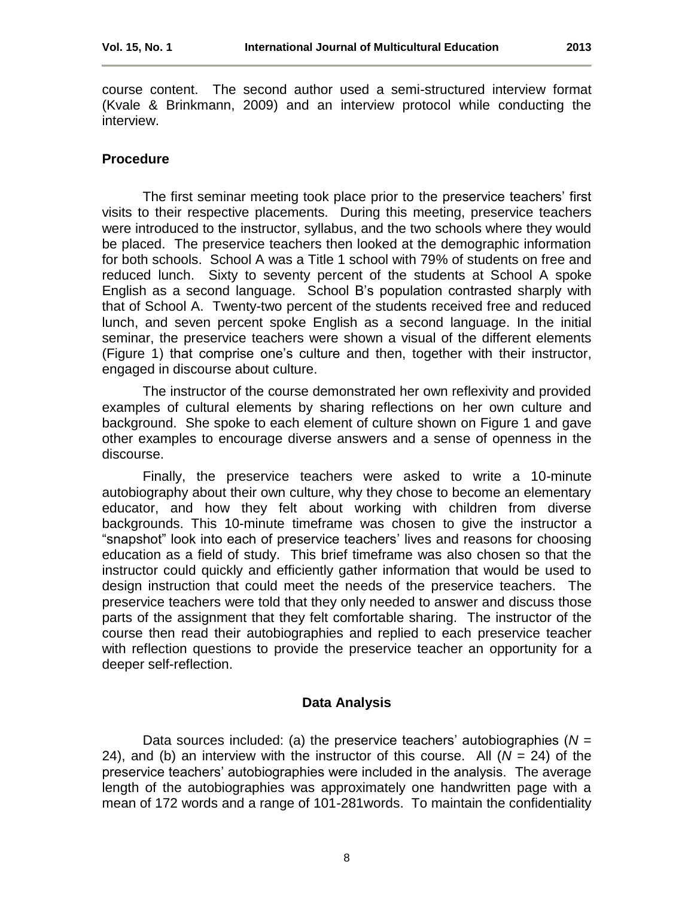course content. The second author used a semi-structured interview format (Kvale & Brinkmann, 2009) and an interview protocol while conducting the interview.

### **Procedure**

The first seminar meeting took place prior to the preservice teachers' first visits to their respective placements. During this meeting, preservice teachers were introduced to the instructor, syllabus, and the two schools where they would be placed. The preservice teachers then looked at the demographic information for both schools. School A was a Title 1 school with 79% of students on free and reduced lunch. Sixty to seventy percent of the students at School A spoke English as a second language. School B's population contrasted sharply with that of School A. Twenty-two percent of the students received free and reduced lunch, and seven percent spoke English as a second language. In the initial seminar, the preservice teachers were shown a visual of the different elements (Figure 1) that comprise one's culture and then, together with their instructor, engaged in discourse about culture.

The instructor of the course demonstrated her own reflexivity and provided examples of cultural elements by sharing reflections on her own culture and background. She spoke to each element of culture shown on Figure 1 and gave other examples to encourage diverse answers and a sense of openness in the discourse.

Finally, the preservice teachers were asked to write a 10-minute autobiography about their own culture, why they chose to become an elementary educator, and how they felt about working with children from diverse backgrounds. This 10-minute timeframe was chosen to give the instructor a "snapshot" look into each of preservice teachers' lives and reasons for choosing education as a field of study. This brief timeframe was also chosen so that the instructor could quickly and efficiently gather information that would be used to design instruction that could meet the needs of the preservice teachers. The preservice teachers were told that they only needed to answer and discuss those parts of the assignment that they felt comfortable sharing. The instructor of the course then read their autobiographies and replied to each preservice teacher with reflection questions to provide the preservice teacher an opportunity for a deeper self-reflection.

### **Data Analysis**

Data sources included: (a) the preservice teachers' autobiographies (*N* = 24), and (b) an interview with the instructor of this course. All (*N* = 24) of the preservice teachers' autobiographies were included in the analysis. The average length of the autobiographies was approximately one handwritten page with a mean of 172 words and a range of 101-281words. To maintain the confidentiality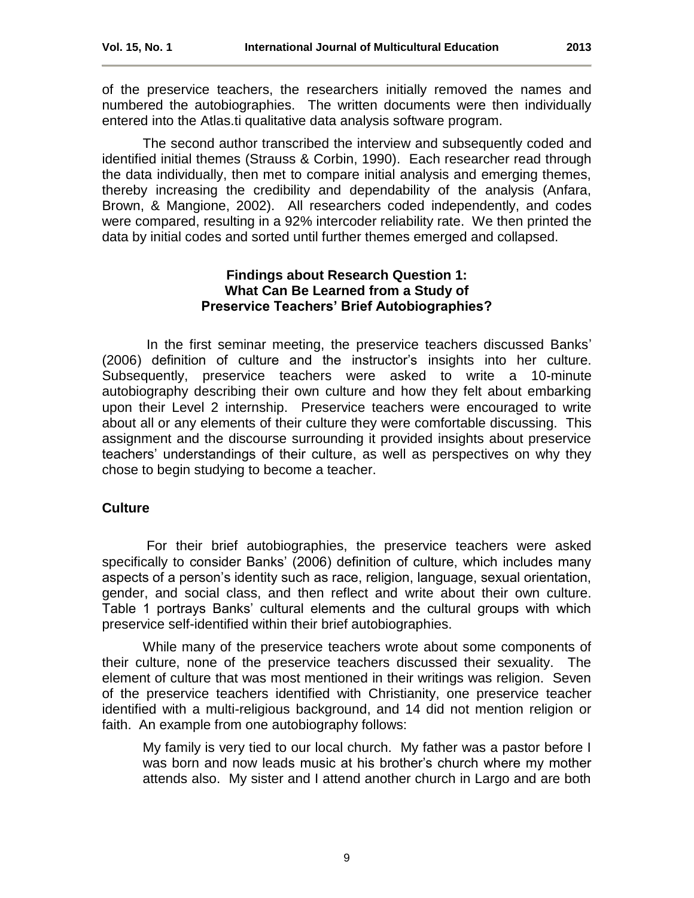of the preservice teachers, the researchers initially removed the names and numbered the autobiographies. The written documents were then individually entered into the Atlas.ti qualitative data analysis software program.

The second author transcribed the interview and subsequently coded and identified initial themes (Strauss & Corbin, 1990). Each researcher read through the data individually, then met to compare initial analysis and emerging themes, thereby increasing the credibility and dependability of the analysis (Anfara, Brown, & Mangione, 2002). All researchers coded independently, and codes were compared, resulting in a 92% intercoder reliability rate. We then printed the data by initial codes and sorted until further themes emerged and collapsed.

### **Findings about Research Question 1: What Can Be Learned from a Study of Preservice Teachers' Brief Autobiographies?**

<span id="page-8-0"></span>In the first seminar meeting, the preservice teachers discussed Banks' (2006) definition of culture and the instructor's insights into her culture. Subsequently, preservice teachers were asked to write a 10-minute autobiography describing their own culture and how they felt about embarking upon their Level 2 internship. Preservice teachers were encouraged to write about all or any elements of their culture they were comfortable discussing. This assignment and the discourse surrounding it provided insights about preservice teachers' understandings of their culture, as well as perspectives on why they chose to begin studying to become a teacher.

### **Culture**

For their brief autobiographies, the preservice teachers were asked specifically to consider Banks' (2006) definition of culture, which includes many aspects of a person's identity such as race, religion, language, sexual orientation, gender, and social class, and then reflect and write about their own culture. Table 1 portrays Banks' cultural elements and the cultural groups with which preservice self-identified within their brief autobiographies.

While many of the preservice teachers wrote about some components of their culture, none of the preservice teachers discussed their sexuality. The element of culture that was most mentioned in their writings was religion. Seven of the preservice teachers identified with Christianity, one preservice teacher identified with a multi-religious background, and 14 did not mention religion or faith. An example from one autobiography follows:

My family is very tied to our local church. My father was a pastor before I was born and now leads music at his brother's church where my mother attends also. My sister and I attend another church in Largo and are both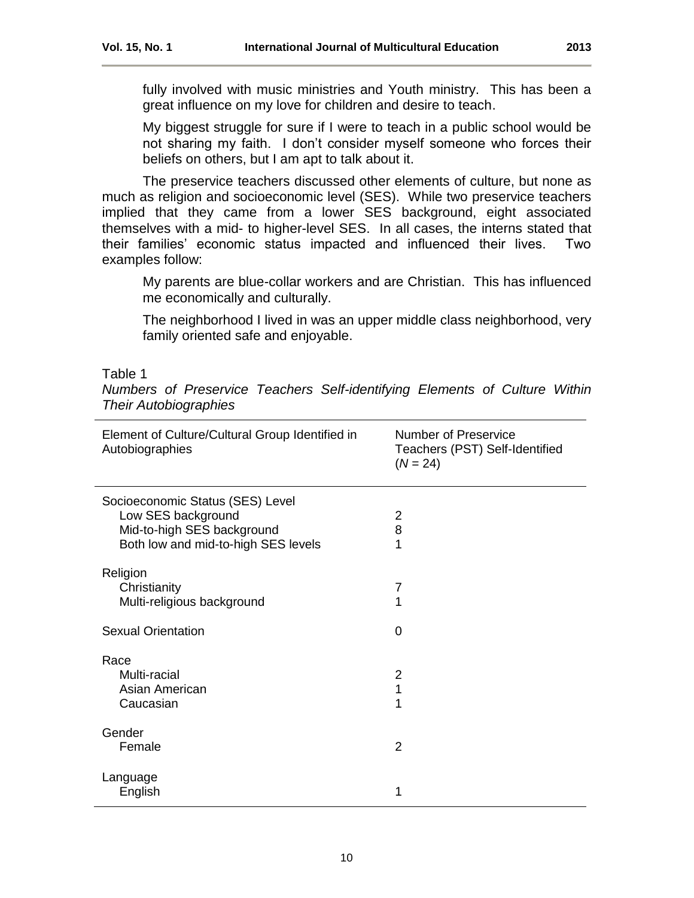fully involved with music ministries and Youth ministry. This has been a great influence on my love for children and desire to teach.

My biggest struggle for sure if I were to teach in a public school would be not sharing my faith. I don't consider myself someone who forces their beliefs on others, but I am apt to talk about it.

The preservice teachers discussed other elements of culture, but none as much as religion and socioeconomic level (SES). While two preservice teachers implied that they came from a lower SES background, eight associated themselves with a mid- to higher-level SES. In all cases, the interns stated that their families' economic status impacted and influenced their lives. Two examples follow:

My parents are blue-collar workers and are Christian. This has influenced me economically and culturally.

The neighborhood I lived in was an upper middle class neighborhood, very family oriented safe and enjoyable.

Table 1

*Numbers of Preservice Teachers Self-identifying Elements of Culture Within Their Autobiographies*

| Element of Culture/Cultural Group Identified in<br>Autobiographies                                                          | Number of Preservice<br>Teachers (PST) Self-Identified<br>$(N = 24)$ |
|-----------------------------------------------------------------------------------------------------------------------------|----------------------------------------------------------------------|
| Socioeconomic Status (SES) Level<br>Low SES background<br>Mid-to-high SES background<br>Both low and mid-to-high SES levels | $\overline{2}$<br>8<br>1                                             |
| Religion<br>Christianity<br>Multi-religious background                                                                      | 7<br>1                                                               |
| <b>Sexual Orientation</b>                                                                                                   | 0                                                                    |
| Race<br>Multi-racial<br>Asian American<br>Caucasian                                                                         | 2<br>1<br>1                                                          |
| Gender<br>Female                                                                                                            | 2                                                                    |
| Language<br>English                                                                                                         | 1                                                                    |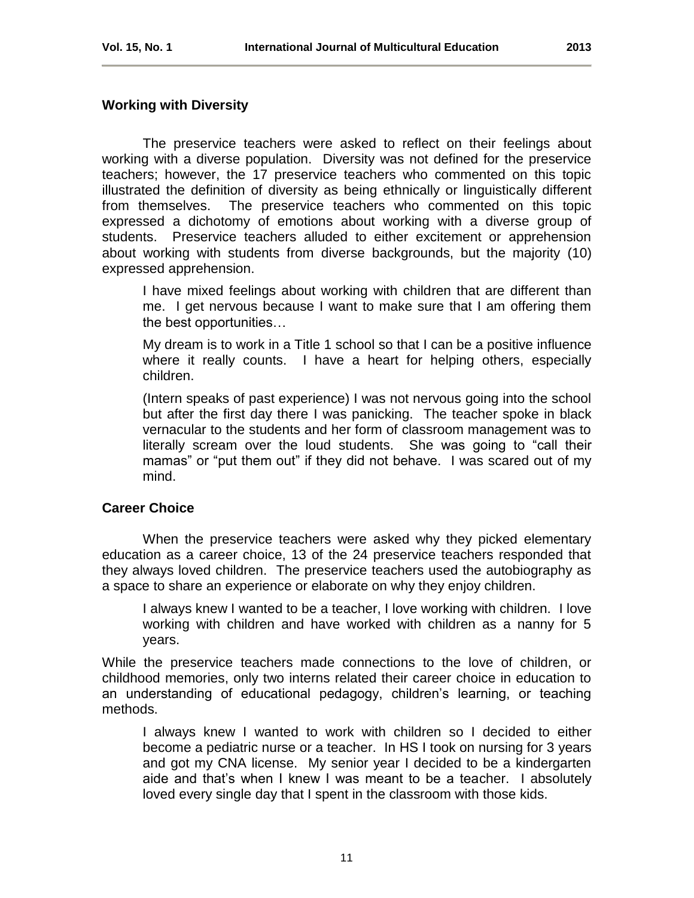# **Working with Diversity**

The preservice teachers were asked to reflect on their feelings about working with a diverse population. Diversity was not defined for the preservice teachers; however, the 17 preservice teachers who commented on this topic illustrated the definition of diversity as being ethnically or linguistically different from themselves. The preservice teachers who commented on this topic expressed a dichotomy of emotions about working with a diverse group of students. Preservice teachers alluded to either excitement or apprehension about working with students from diverse backgrounds, but the majority (10) expressed apprehension.

I have mixed feelings about working with children that are different than me. I get nervous because I want to make sure that I am offering them the best opportunities…

My dream is to work in a Title 1 school so that I can be a positive influence where it really counts. I have a heart for helping others, especially children.

(Intern speaks of past experience) I was not nervous going into the school but after the first day there I was panicking. The teacher spoke in black vernacular to the students and her form of classroom management was to literally scream over the loud students. She was going to "call their mamas" or "put them out" if they did not behave. I was scared out of my mind.

# **Career Choice**

When the preservice teachers were asked why they picked elementary education as a career choice, 13 of the 24 preservice teachers responded that they always loved children. The preservice teachers used the autobiography as a space to share an experience or elaborate on why they enjoy children.

I always knew I wanted to be a teacher, I love working with children. I love working with children and have worked with children as a nanny for 5 years.

While the preservice teachers made connections to the love of children, or childhood memories, only two interns related their career choice in education to an understanding of educational pedagogy, children's learning, or teaching methods.

I always knew I wanted to work with children so I decided to either become a pediatric nurse or a teacher. In HS I took on nursing for 3 years and got my CNA license. My senior year I decided to be a kindergarten aide and that's when I knew I was meant to be a teacher. I absolutely loved every single day that I spent in the classroom with those kids.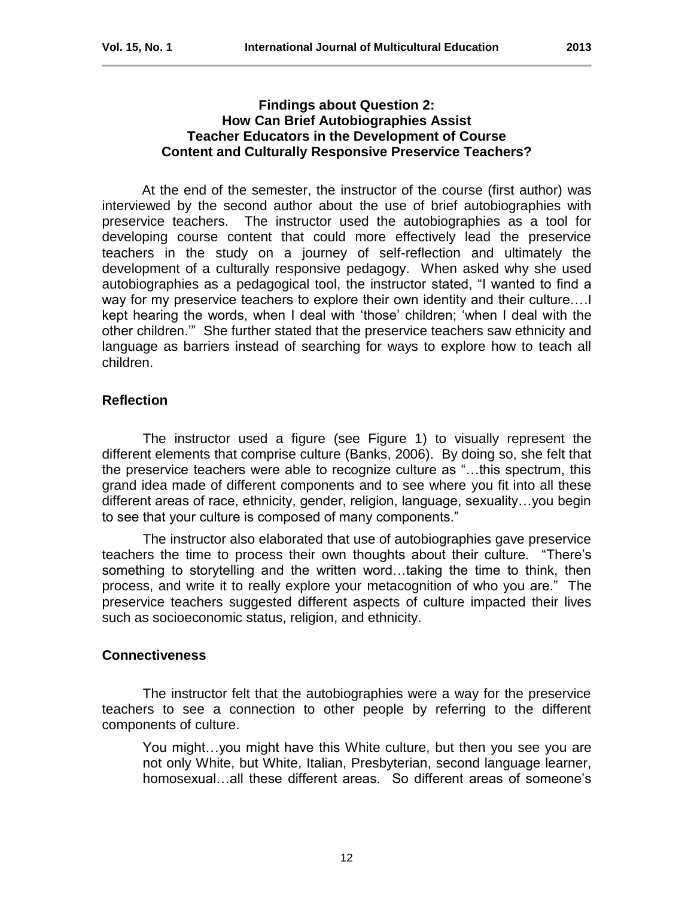### <span id="page-11-0"></span>**Findings about Question 2: How Can Brief Autobiographies Assist Teacher Educators in the Development of Course Content and Culturally Responsive Preservice Teachers?**

At the end of the semester, the instructor of the course (first author) was interviewed by the second author about the use of brief autobiographies with preservice teachers. The instructor used the autobiographies as a tool for developing course content that could more effectively lead the preservice teachers in the study on a journey of self-reflection and ultimately the development of a culturally responsive pedagogy. When asked why she used autobiographies as a pedagogical tool, the instructor stated, "I wanted to find a way for my preservice teachers to explore their own identity and their culture.... kept hearing the words, when I deal with 'those' children; 'when I deal with the other children.'" She further stated that the preservice teachers saw ethnicity and language as barriers instead of searching for ways to explore how to teach all children.

#### **Reflection**

The instructor used a figure (see Figure 1) to visually represent the different elements that comprise culture (Banks, 2006). By doing so, she felt that the preservice teachers were able to recognize culture as "…this spectrum, this grand idea made of different components and to see where you fit into all these different areas of race, ethnicity, gender, religion, language, sexuality…you begin to see that your culture is composed of many components."

The instructor also elaborated that use of autobiographies gave preservice teachers the time to process their own thoughts about their culture. "There's something to storytelling and the written word…taking the time to think, then process, and write it to really explore your metacognition of who you are." The preservice teachers suggested different aspects of culture impacted their lives such as socioeconomic status, religion, and ethnicity.

### **Connectiveness**

The instructor felt that the autobiographies were a way for the preservice teachers to see a connection to other people by referring to the different components of culture.

You might…you might have this White culture, but then you see you are not only White, but White, Italian, Presbyterian, second language learner, homosexual…all these different areas. So different areas of someone's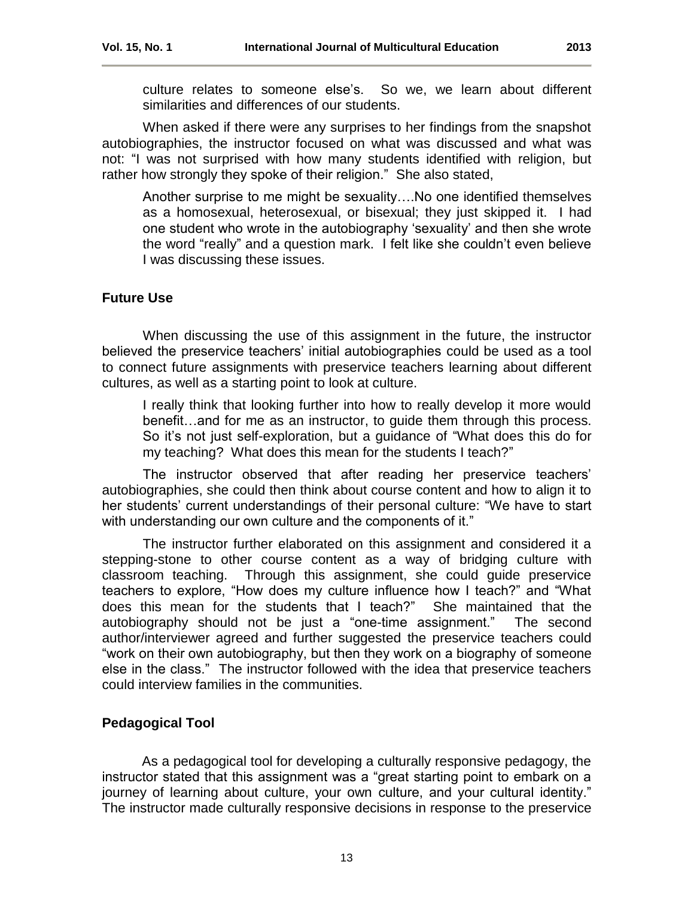When asked if there were any surprises to her findings from the snapshot autobiographies, the instructor focused on what was discussed and what was not: "I was not surprised with how many students identified with religion, but rather how strongly they spoke of their religion." She also stated,

Another surprise to me might be sexuality….No one identified themselves as a homosexual, heterosexual, or bisexual; they just skipped it. I had one student who wrote in the autobiography 'sexuality' and then she wrote the word "really" and a question mark. I felt like she couldn't even believe I was discussing these issues.

### **Future Use**

When discussing the use of this assignment in the future, the instructor believed the preservice teachers' initial autobiographies could be used as a tool to connect future assignments with preservice teachers learning about different cultures, as well as a starting point to look at culture.

I really think that looking further into how to really develop it more would benefit…and for me as an instructor, to guide them through this process. So it's not just self-exploration, but a guidance of "What does this do for my teaching? What does this mean for the students I teach?"

The instructor observed that after reading her preservice teachers' autobiographies, she could then think about course content and how to align it to her students' current understandings of their personal culture: "We have to start with understanding our own culture and the components of it."

The instructor further elaborated on this assignment and considered it a stepping-stone to other course content as a way of bridging culture with classroom teaching. Through this assignment, she could guide preservice teachers to explore, "How does my culture influence how I teach?" and "What does this mean for the students that I teach?" She maintained that the autobiography should not be just a "one-time assignment." The second author/interviewer agreed and further suggested the preservice teachers could "work on their own autobiography, but then they work on a biography of someone else in the class." The instructor followed with the idea that preservice teachers could interview families in the communities.

# **Pedagogical Tool**

As a pedagogical tool for developing a culturally responsive pedagogy, the instructor stated that this assignment was a "great starting point to embark on a journey of learning about culture, your own culture, and your cultural identity." The instructor made culturally responsive decisions in response to the preservice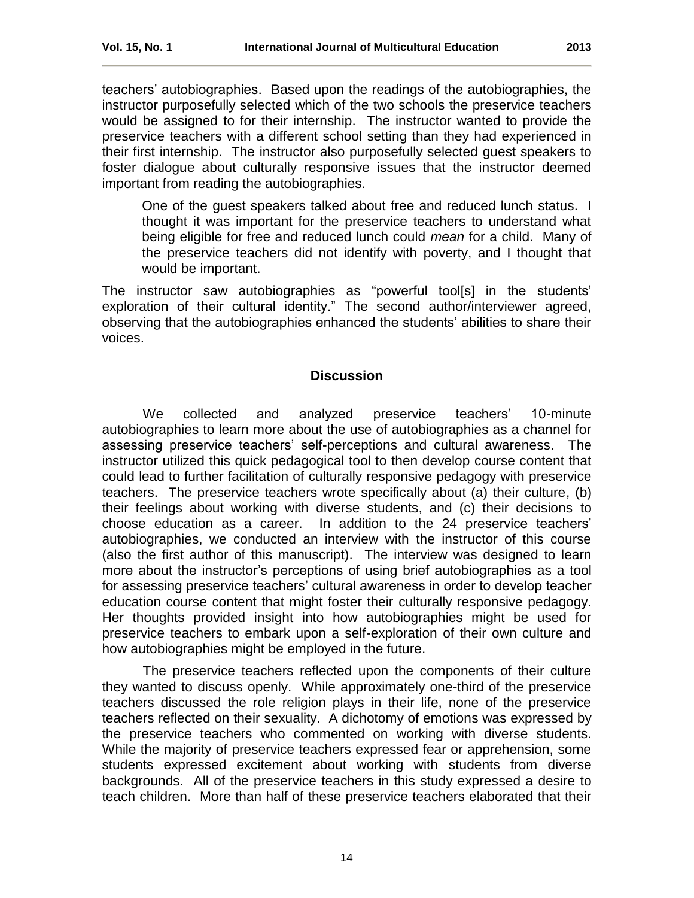teachers' autobiographies. Based upon the readings of the autobiographies, the instructor purposefully selected which of the two schools the preservice teachers would be assigned to for their internship. The instructor wanted to provide the preservice teachers with a different school setting than they had experienced in their first internship. The instructor also purposefully selected guest speakers to foster dialogue about culturally responsive issues that the instructor deemed important from reading the autobiographies.

One of the guest speakers talked about free and reduced lunch status. I thought it was important for the preservice teachers to understand what being eligible for free and reduced lunch could *mean* for a child. Many of the preservice teachers did not identify with poverty, and I thought that would be important.

The instructor saw autobiographies as "powerful tool[s] in the students' exploration of their cultural identity." The second author/interviewer agreed, observing that the autobiographies enhanced the students' abilities to share their voices.

### **Discussion**

<span id="page-13-0"></span>We collected and analyzed preservice teachers' 10-minute autobiographies to learn more about the use of autobiographies as a channel for assessing preservice teachers' self-perceptions and cultural awareness. The instructor utilized this quick pedagogical tool to then develop course content that could lead to further facilitation of culturally responsive pedagogy with preservice teachers. The preservice teachers wrote specifically about (a) their culture, (b) their feelings about working with diverse students, and (c) their decisions to choose education as a career. In addition to the 24 preservice teachers' autobiographies, we conducted an interview with the instructor of this course (also the first author of this manuscript). The interview was designed to learn more about the instructor's perceptions of using brief autobiographies as a tool for assessing preservice teachers' cultural awareness in order to develop teacher education course content that might foster their culturally responsive pedagogy. Her thoughts provided insight into how autobiographies might be used for preservice teachers to embark upon a self-exploration of their own culture and how autobiographies might be employed in the future.

The preservice teachers reflected upon the components of their culture they wanted to discuss openly. While approximately one-third of the preservice teachers discussed the role religion plays in their life, none of the preservice teachers reflected on their sexuality. A dichotomy of emotions was expressed by the preservice teachers who commented on working with diverse students. While the majority of preservice teachers expressed fear or apprehension, some students expressed excitement about working with students from diverse backgrounds. All of the preservice teachers in this study expressed a desire to teach children. More than half of these preservice teachers elaborated that their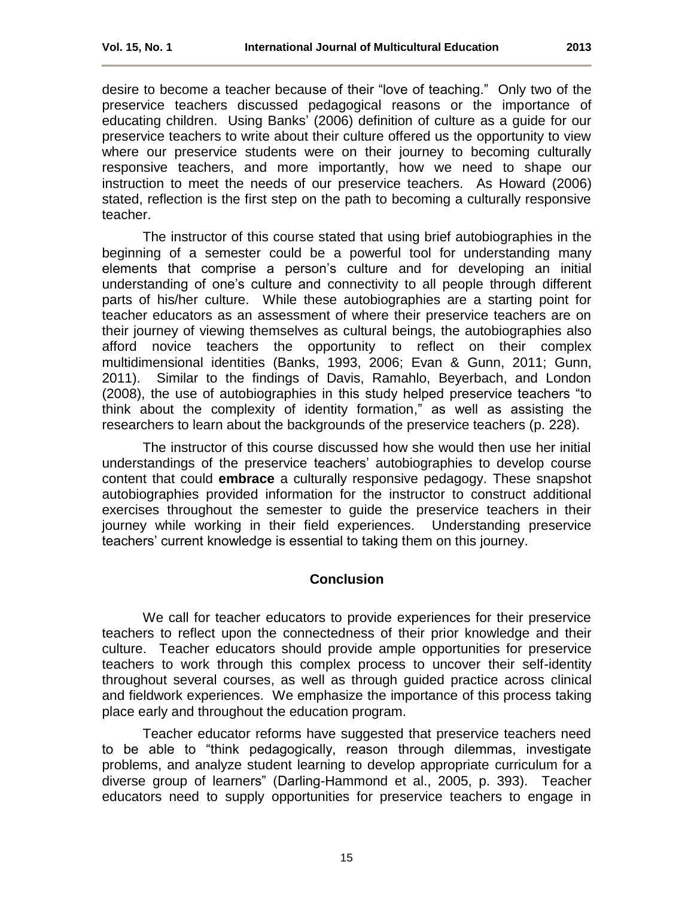desire to become a teacher because of their "love of teaching." Only two of the preservice teachers discussed pedagogical reasons or the importance of educating children. Using Banks' (2006) definition of culture as a guide for our preservice teachers to write about their culture offered us the opportunity to view where our preservice students were on their journey to becoming culturally responsive teachers, and more importantly, how we need to shape our instruction to meet the needs of our preservice teachers. As Howard (2006) stated, reflection is the first step on the path to becoming a culturally responsive teacher.

The instructor of this course stated that using brief autobiographies in the beginning of a semester could be a powerful tool for understanding many elements that comprise a person's culture and for developing an initial understanding of one's culture and connectivity to all people through different parts of his/her culture. While these autobiographies are a starting point for teacher educators as an assessment of where their preservice teachers are on their journey of viewing themselves as cultural beings, the autobiographies also afford novice teachers the opportunity to reflect on their complex multidimensional identities (Banks, 1993, 2006; Evan & Gunn, 2011; Gunn, 2011). Similar to the findings of Davis, Ramahlo, Beyerbach, and London (2008), the use of autobiographies in this study helped preservice teachers "to think about the complexity of identity formation," as well as assisting the researchers to learn about the backgrounds of the preservice teachers (p. 228).

The instructor of this course discussed how she would then use her initial understandings of the preservice teachers' autobiographies to develop course content that could **embrace** a culturally responsive pedagogy. These snapshot autobiographies provided information for the instructor to construct additional exercises throughout the semester to guide the preservice teachers in their journey while working in their field experiences. Understanding preservice teachers' current knowledge is essential to taking them on this journey.

# **Conclusion**

We call for teacher educators to provide experiences for their preservice teachers to reflect upon the connectedness of their prior knowledge and their culture. Teacher educators should provide ample opportunities for preservice teachers to work through this complex process to uncover their self-identity throughout several courses, as well as through guided practice across clinical and fieldwork experiences. We emphasize the importance of this process taking place early and throughout the education program.

Teacher educator reforms have suggested that preservice teachers need to be able to "think pedagogically, reason through dilemmas, investigate problems, and analyze student learning to develop appropriate curriculum for a diverse group of learners" (Darling-Hammond et al., 2005, p. 393). Teacher educators need to supply opportunities for preservice teachers to engage in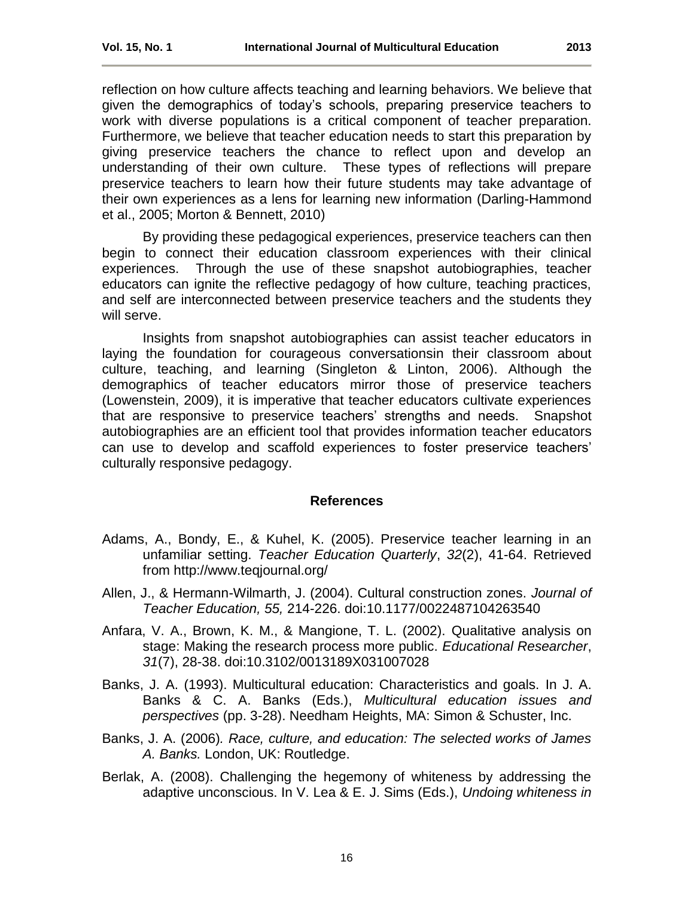reflection on how culture affects teaching and learning behaviors. We believe that given the demographics of today's schools, preparing preservice teachers to work with diverse populations is a critical component of teacher preparation. Furthermore, we believe that teacher education needs to start this preparation by giving preservice teachers the chance to reflect upon and develop an understanding of their own culture. These types of reflections will prepare preservice teachers to learn how their future students may take advantage of their own experiences as a lens for learning new information (Darling-Hammond et al., 2005; Morton & Bennett, 2010)

By providing these pedagogical experiences, preservice teachers can then begin to connect their education classroom experiences with their clinical experiences. Through the use of these snapshot autobiographies, teacher educators can ignite the reflective pedagogy of how culture, teaching practices, and self are interconnected between preservice teachers and the students they will serve.

Insights from snapshot autobiographies can assist teacher educators in laying the foundation for courageous conversationsin their classroom about culture, teaching, and learning (Singleton & Linton, 2006). Although the demographics of teacher educators mirror those of preservice teachers (Lowenstein, 2009), it is imperative that teacher educators cultivate experiences that are responsive to preservice teachers' strengths and needs. Snapshot autobiographies are an efficient tool that provides information teacher educators can use to develop and scaffold experiences to foster preservice teachers' culturally responsive pedagogy.

#### **References**

- <span id="page-15-0"></span>Adams, A., Bondy, E., & Kuhel, K. (2005). Preservice teacher learning in an unfamiliar setting. *Teacher Education Quarterly*, *32*(2), 41-64. Retrieved from<http://www.teqjournal.org/>
- Allen, J., & Hermann-Wilmarth, J. (2004). Cultural construction zones. *Journal of Teacher Education, 55,* 214-226. doi:10.1177/0022487104263540
- Anfara, V. A., Brown, K. M., & Mangione, T. L. (2002). Qualitative analysis on stage: Making the research process more public. *Educational Researcher*, *31*(7), 28-38. doi:10.3102/0013189X031007028
- Banks, J. A. (1993). Multicultural education: Characteristics and goals. In J. A. Banks & C. A. Banks (Eds.), *Multicultural education issues and perspectives* (pp. 3-28). Needham Heights, MA: Simon & Schuster, Inc.
- Banks, J. A. (2006)*. Race, culture, and education: The selected works of James A. Banks.* London, UK: Routledge.
- Berlak, A. (2008). Challenging the hegemony of whiteness by addressing the adaptive unconscious. In V. Lea & E. J. Sims (Eds.), *Undoing whiteness in*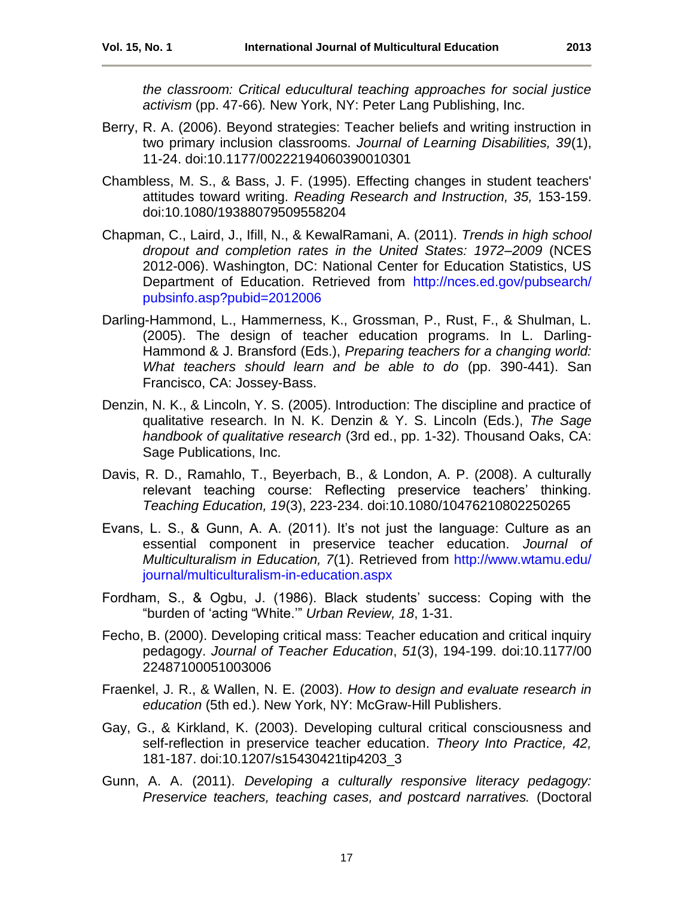*the classroom: Critical educultural teaching approaches for social justice activism* (pp. 47-66)*.* New York, NY: Peter Lang Publishing, Inc.

- Berry, R. A. (2006). Beyond strategies: Teacher beliefs and writing instruction in two primary inclusion classrooms. *Journal of Learning Disabilities, 39*(1), 11-24. doi:10.1177/00222194060390010301
- Chambless, M. S., & Bass, J. F. (1995). Effecting changes in student teachers' attitudes toward writing. *Reading Research and Instruction, 35,* 153-159. doi:10.1080/19388079509558204
- Chapman, C., Laird, J., Ifill, N., & KewalRamani, A. (2011). *Trends in high school dropout and completion rates in the United States: 1972*–*2009* (NCES 2012-006). Washington, DC: National Center for Education Statistics, US Department of Education. Retrieved from [http://nces.ed.gov/pubsearch/](http://nces.ed.gov/pubsearch/%20pubsinfo.asp?pubid=2012006) [pubsinfo.asp?pubid=2012006](http://nces.ed.gov/pubsearch/%20pubsinfo.asp?pubid=2012006)
- Darling-Hammond, L., Hammerness, K., Grossman, P., Rust, F., & Shulman, L. (2005). The design of teacher education programs. In L. Darling-Hammond & J. Bransford (Eds.), *Preparing teachers for a changing world: What teachers should learn and be able to do* (pp. 390-441). San Francisco, CA: Jossey-Bass.
- Denzin, N. K., & Lincoln, Y. S. (2005). Introduction: The discipline and practice of qualitative research. In N. K. Denzin & Y. S. Lincoln (Eds.), *The Sage handbook of qualitative research* (3rd ed., pp. 1-32). Thousand Oaks, CA: Sage Publications, Inc.
- Davis, R. D., Ramahlo, T., Beyerbach, B., & London, A. P. (2008). A culturally relevant teaching course: Reflecting preservice teachers' thinking. *Teaching Education, 19*(3), 223-234. doi:10.1080/10476210802250265
- Evans, L. S., & Gunn, A. A. (2011). It's not just the language: Culture as an essential component in preservice teacher education. *Journal of Multiculturalism in Education, 7*(1). Retrieved from [http://www.wtamu.edu/](http://www.wtamu.edu/%20journal/multiculturalism-in-education.aspx) [journal/multiculturalism-in-education.aspx](http://www.wtamu.edu/%20journal/multiculturalism-in-education.aspx)
- Fordham, S., & Ogbu, J. (1986). Black students' success: Coping with the "burden of 'acting "White.'" *Urban Review, 18*, 1-31.
- Fecho, B. (2000). Developing critical mass: Teacher education and critical inquiry pedagogy. *Journal of Teacher Education*, *51*(3), 194-199. doi:10.1177/00 22487100051003006
- Fraenkel, J. R., & Wallen, N. E. (2003). *How to design and evaluate research in education* (5th ed.). New York, NY: McGraw-Hill Publishers.
- Gay, G., & Kirkland, K. (2003). Developing cultural critical consciousness and self-reflection in preservice teacher education. *Theory Into Practice, 42,* 181-187. doi:10.1207/s15430421tip4203\_3
- Gunn, A. A. (2011). *Developing a culturally responsive literacy pedagogy: Preservice teachers, teaching cases, and postcard narratives.* (Doctoral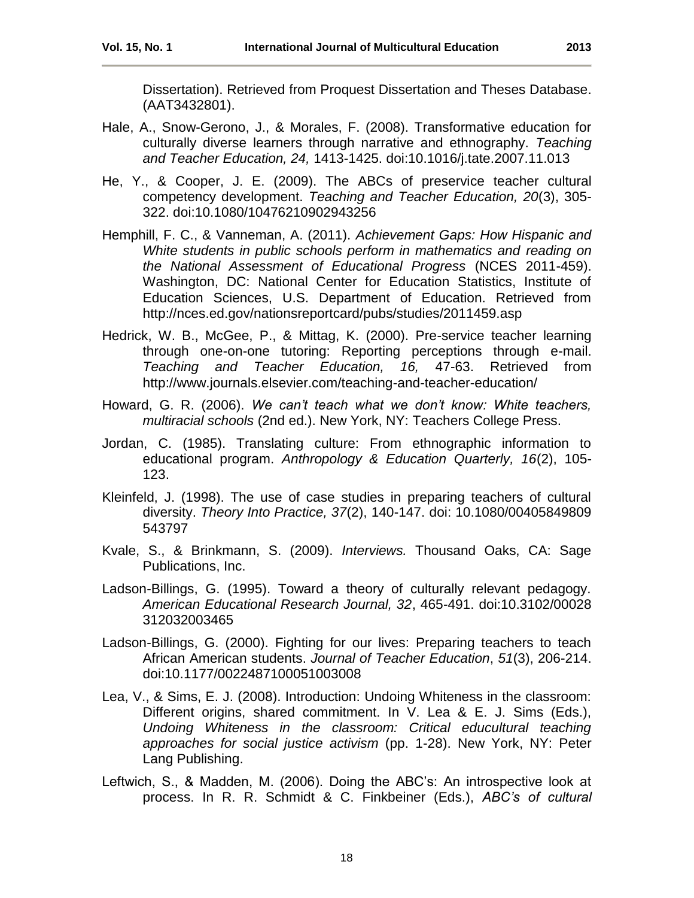Dissertation). Retrieved from Proquest Dissertation and Theses Database. (AAT3432801).

- Hale, A., Snow-Gerono, J., & Morales, F. (2008). Transformative education for culturally diverse learners through narrative and ethnography. *Teaching and Teacher Education, 24,* 1413-1425. doi:10.1016/j.tate.2007.11.013
- He, Y., & Cooper, J. E. (2009). The ABCs of preservice teacher cultural competency development. *Teaching and Teacher Education, 20*(3), 305- 322. doi:10.1080/10476210902943256
- Hemphill, F. C., & Vanneman, A. (2011). *Achievement Gaps: How Hispanic and White students in public schools perform in mathematics and reading on the National Assessment of Educational Progress* (NCES 2011-459). Washington, DC: National Center for Education Statistics, Institute of Education Sciences, U.S. Department of Education. Retrieved from <http://nces.ed.gov/nationsreportcard/pubs/studies/2011459.asp>
- Hedrick, W. B., McGee, P., & Mittag, K. (2000). Pre-service teacher learning through one-on-one tutoring: Reporting perceptions through e-mail. *Teaching and Teacher Education, 16,* 47-63. Retrieved from <http://www.journals.elsevier.com/teaching-and-teacher-education/>
- Howard, G. R. (2006). *We can't teach what we don't know: White teachers, multiracial schools* (2nd ed.). New York, NY: Teachers College Press.
- Jordan, C. (1985). Translating culture: From ethnographic information to educational program. *Anthropology & Education Quarterly, 16*(2), 105- 123.
- Kleinfeld, J. (1998). The use of case studies in preparing teachers of cultural diversity. *Theory Into Practice, 37*(2), 140-147. doi: 10.1080/00405849809 543797
- Kvale, S., & Brinkmann, S. (2009). *Interviews.* Thousand Oaks, CA: Sage Publications, Inc.
- Ladson-Billings, G. (1995). Toward a theory of culturally relevant pedagogy. *American Educational Research Journal, 32*, 465-491. doi:10.3102/00028 312032003465
- Ladson-Billings, G. (2000). Fighting for our lives: Preparing teachers to teach African American students. *Journal of Teacher Education*, *51*(3), 206-214. doi:10.1177/0022487100051003008
- Lea, V., & Sims, E. J. (2008). Introduction: Undoing Whiteness in the classroom: Different origins, shared commitment. In V. Lea & E. J. Sims (Eds.), *Undoing Whiteness in the classroom: Critical educultural teaching approaches for social justice activism* (pp. 1-28). New York, NY: Peter Lang Publishing.
- Leftwich, S., & Madden, M. (2006). Doing the ABC's: An introspective look at process. In R. R. Schmidt & C. Finkbeiner (Eds.), *ABC's of cultural*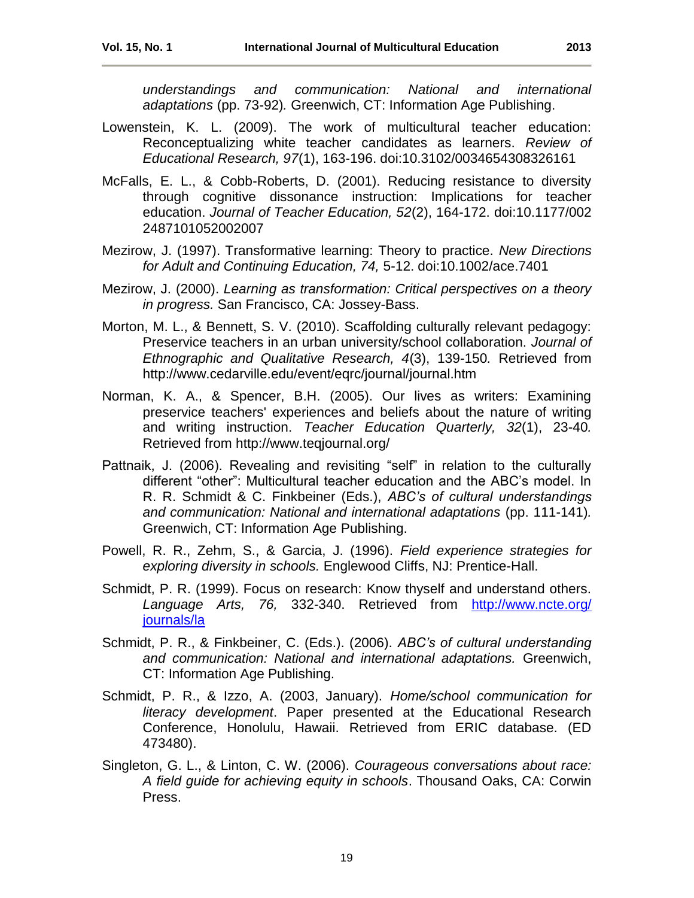*understandings and communication: National and international adaptations* (pp. 73-92)*.* Greenwich, CT: Information Age Publishing.

- Lowenstein, K. L. (2009). The work of multicultural teacher education: Reconceptualizing white teacher candidates as learners. *Review of Educational Research, 97*(1), 163-196. doi:10.3102/0034654308326161
- McFalls, E. L., & Cobb-Roberts, D. (2001). Reducing resistance to diversity through cognitive dissonance instruction: Implications for teacher education. *Journal of Teacher Education, 52*(2), 164-172. doi:10.1177/002 2487101052002007
- Mezirow, J. (1997). Transformative learning: Theory to practice. *New Directions for Adult and Continuing Education, 74,* 5-12. doi:10.1002/ace.7401
- Mezirow, J. (2000). *Learning as transformation: Critical perspectives on a theory in progress.* San Francisco, CA: Jossey-Bass.
- Morton, M. L., & Bennett, S. V. (2010). Scaffolding culturally relevant pedagogy: Preservice teachers in an urban university/school collaboration. *Journal of Ethnographic and Qualitative Research, 4*(3), 139-150*.* Retrieved from <http://www.cedarville.edu/event/eqrc/journal/journal.htm>
- Norman, K. A., & Spencer, B.H. (2005). Our lives as writers: Examining preservice teachers' experiences and beliefs about the nature of writing and writing instruction. *Teacher Education Quarterly, 32*(1), 23-40*.*  Retrieved from<http://www.teqjournal.org/>
- Pattnaik, J. (2006). Revealing and revisiting "self" in relation to the culturally different "other": Multicultural teacher education and the ABC's model. In R. R. Schmidt & C. Finkbeiner (Eds.), *ABC's of cultural understandings and communication: National and international adaptations* (pp. 111-141)*.*  Greenwich, CT: Information Age Publishing.
- Powell, R. R., Zehm, S., & Garcia, J. (1996). *Field experience strategies for exploring diversity in schools.* Englewood Cliffs, NJ: Prentice-Hall.
- Schmidt, P. R. (1999). Focus on research: Know thyself and understand others. *Language Arts, 76,* 332-340. Retrieved from [http://www.ncte.org/](http://www.ncte.org/%20journals/la) [journals/la](http://www.ncte.org/%20journals/la)
- Schmidt, P. R., & Finkbeiner, C. (Eds.). (2006). *ABC's of cultural understanding and communication: National and international adaptations.* Greenwich, CT: Information Age Publishing.
- Schmidt, P. R., & Izzo, A. (2003, January). *Home/school communication for literacy development*. Paper presented at the Educational Research Conference, Honolulu, Hawaii. Retrieved from ERIC database. (ED 473480).
- Singleton, G. L., & Linton, C. W. (2006). *Courageous conversations about race: A field guide for achieving equity in schools*. Thousand Oaks, CA: Corwin Press.